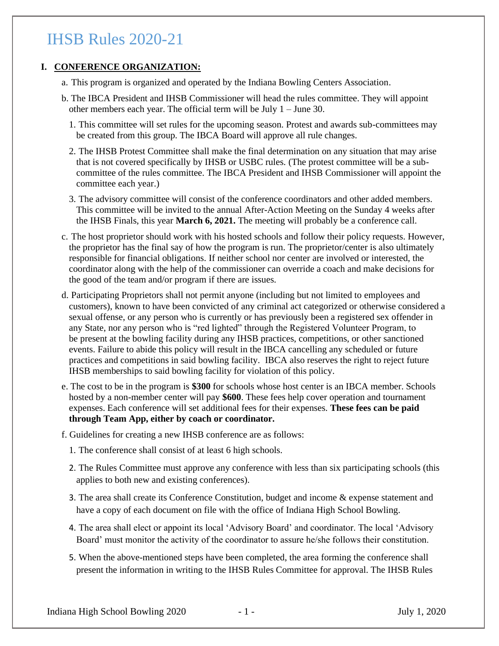### **I. CONFERENCE ORGANIZATION:**

- a. This program is organized and operated by the Indiana Bowling Centers Association.
- b. The IBCA President and IHSB Commissioner will head the rules committee. They will appoint other members each year. The official term will be July 1 – June 30.
	- 1. This committee will set rules for the upcoming season. Protest and awards sub-committees may be created from this group. The IBCA Board will approve all rule changes.
	- 2. The IHSB Protest Committee shall make the final determination on any situation that may arise that is not covered specifically by IHSB or USBC rules. (The protest committee will be a subcommittee of the rules committee. The IBCA President and IHSB Commissioner will appoint the committee each year.)
	- 3. The advisory committee will consist of the conference coordinators and other added members. This committee will be invited to the annual After-Action Meeting on the Sunday 4 weeks after the IHSB Finals, this year **March 6, 2021.** The meeting will probably be a conference call.
- c. The host proprietor should work with his hosted schools and follow their policy requests. However, the proprietor has the final say of how the program is run. The proprietor/center is also ultimately responsible for financial obligations. If neither school nor center are involved or interested, the coordinator along with the help of the commissioner can override a coach and make decisions for the good of the team and/or program if there are issues.
- d. Participating Proprietors shall not permit anyone (including but not limited to employees and customers), known to have been convicted of any criminal act categorized or otherwise considered a sexual offense, or any person who is currently or has previously been a registered sex offender in any State, nor any person who is "red lighted" through the Registered Volunteer Program, to be present at the bowling facility during any IHSB practices, competitions, or other sanctioned events. Failure to abide this policy will result in the IBCA cancelling any scheduled or future practices and competitions in said bowling facility. IBCA also reserves the right to reject future IHSB memberships to said bowling facility for violation of this policy.
- e. The cost to be in the program is **\$300** for schools whose host center is an IBCA member. Schools hosted by a non-member center will pay **\$600**. These fees help cover operation and tournament expenses. Each conference will set additional fees for their expenses. **These fees can be paid through Team App, either by coach or coordinator.**
- f. Guidelines for creating a new IHSB conference are as follows:
	- 1. The conference shall consist of at least 6 high schools.
	- 2. The Rules Committee must approve any conference with less than six participating schools (this applies to both new and existing conferences).
	- 3. The area shall create its Conference Constitution, budget and income & expense statement and have a copy of each document on file with the office of Indiana High School Bowling.
	- 4. The area shall elect or appoint its local 'Advisory Board' and coordinator. The local 'Advisory Board' must monitor the activity of the coordinator to assure he/she follows their constitution.
	- 5. When the above-mentioned steps have been completed, the area forming the conference shall present the information in writing to the IHSB Rules Committee for approval. The IHSB Rules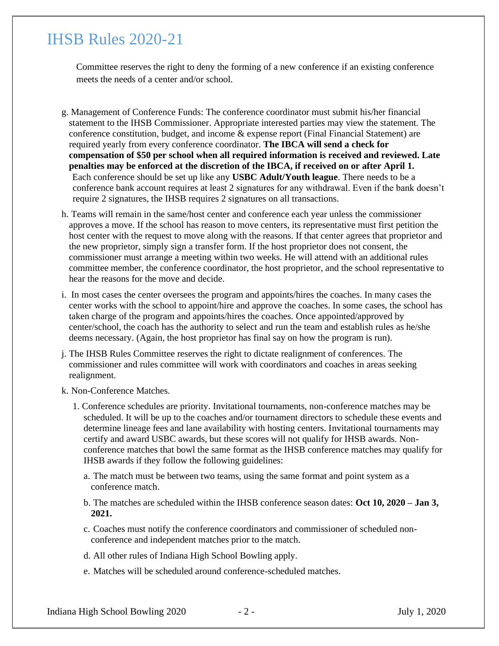Committee reserves the right to deny the forming of a new conference if an existing conference meets the needs of a center and/or school.

- g. Management of Conference Funds: The conference coordinator must submit his/her financial statement to the IHSB Commissioner. Appropriate interested parties may view the statement. The conference constitution, budget, and income & expense report (Final Financial Statement) are required yearly from every conference coordinator. **The IBCA will send a check for compensation of \$50 per school when all required information is received and reviewed. Late penalties may be enforced at the discretion of the IBCA, if received on or after April 1.** Each conference should be set up like any **USBC Adult/Youth league**. There needs to be a conference bank account requires at least 2 signatures for any withdrawal. Even if the bank doesn't require 2 signatures, the IHSB requires 2 signatures on all transactions.
- h. Teams will remain in the same/host center and conference each year unless the commissioner approves a move. If the school has reason to move centers, its representative must first petition the host center with the request to move along with the reasons. If that center agrees that proprietor and the new proprietor, simply sign a transfer form. If the host proprietor does not consent, the commissioner must arrange a meeting within two weeks. He will attend with an additional rules committee member, the conference coordinator, the host proprietor, and the school representative to hear the reasons for the move and decide.
- i. In most cases the center oversees the program and appoints/hires the coaches. In many cases the center works with the school to appoint/hire and approve the coaches. In some cases, the school has taken charge of the program and appoints/hires the coaches. Once appointed/approved by center/school, the coach has the authority to select and run the team and establish rules as he/she deems necessary. (Again, the host proprietor has final say on how the program is run).
- j. The IHSB Rules Committee reserves the right to dictate realignment of conferences. The commissioner and rules committee will work with coordinators and coaches in areas seeking realignment.
- k. Non-Conference Matches.
	- 1. Conference schedules are priority. Invitational tournaments, non-conference matches may be scheduled. It will be up to the coaches and/or tournament directors to schedule these events and determine lineage fees and lane availability with hosting centers. Invitational tournaments may certify and award USBC awards, but these scores will not qualify for IHSB awards. Nonconference matches that bowl the same format as the IHSB conference matches may qualify for IHSB awards if they follow the following guidelines:
		- a. The match must be between two teams, using the same format and point system as a conference match.
		- b. The matches are scheduled within the IHSB conference season dates: **Oct 10, 2020 – Jan 3, 2021.**
		- c. Coaches must notify the conference coordinators and commissioner of scheduled nonconference and independent matches prior to the match.
		- d. All other rules of Indiana High School Bowling apply.
		- e. Matches will be scheduled around conference-scheduled matches.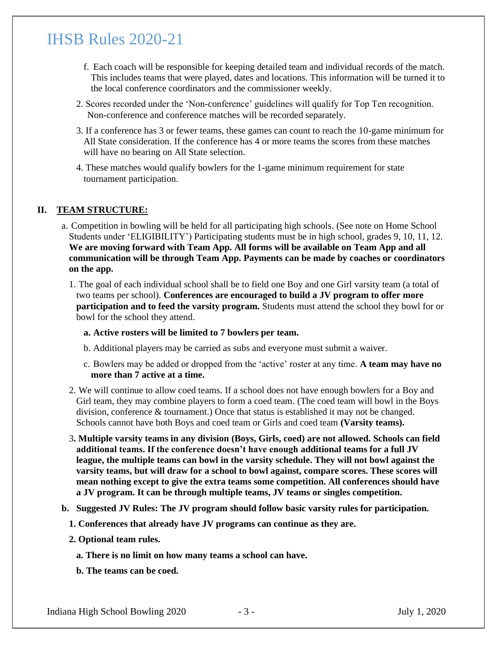- f. Each coach will be responsible for keeping detailed team and individual records of the match. This includes teams that were played, dates and locations. This information will be turned it to the local conference coordinators and the commissioner weekly.
- 2. Scores recorded under the 'Non-conference' guidelines will qualify for Top Ten recognition. Non-conference and conference matches will be recorded separately.
- 3. If a conference has 3 or fewer teams, these games can count to reach the 10-game minimum for All State consideration. If the conference has 4 or more teams the scores from these matches will have no bearing on All State selection.
- 4. These matches would qualify bowlers for the 1-game minimum requirement for state tournament participation.

#### **II. TEAM STRUCTURE:**

- a. Competition in bowling will be held for all participating high schools. (See note on Home School Students under 'ELIGIBILITY') Participating students must be in high school, grades 9, 10, 11, 12. **We are moving forward with Team App. All forms will be available on Team App and all communication will be through Team App. Payments can be made by coaches or coordinators on the app.** 
	- 1. The goal of each individual school shall be to field one Boy and one Girl varsity team (a total of two teams per school). **Conferences are encouraged to build a JV program to offer more participation and to feed the varsity program.** Students must attend the school they bowl for or bowl for the school they attend.
		- **a. Active rosters will be limited to 7 bowlers per team.**
		- b. Additional players may be carried as subs and everyone must submit a waiver.
		- c. Bowlers may be added or dropped from the 'active' roster at any time. **A team may have no more than 7 active at a time.**
	- 2. We will continue to allow coed teams. If a school does not have enough bowlers for a Boy and Girl team, they may combine players to form a coed team. (The coed team will bowl in the Boys division, conference & tournament.) Once that status is established it may not be changed. Schools cannot have both Boys and coed team or Girls and coed team **(Varsity teams).**
	- 3**. Multiple varsity teams in any division (Boys, Girls, coed) are not allowed. Schools can field additional teams. If the conference doesn't have enough additional teams for a full JV league, the multiple teams can bowl in the varsity schedule. They will not bowl against the varsity teams, but will draw for a school to bowl against, compare scores. These scores will mean nothing except to give the extra teams some competition. All conferences should have a JV program. It can be through multiple teams, JV teams or singles competition.**
- **b. Suggested JV Rules: The JV program should follow basic varsity rules for participation.** 
	- **1. Conferences that already have JV programs can continue as they are.**
	- **2. Optional team rules.** 
		- **a. There is no limit on how many teams a school can have.**
		- **b. The teams can be coed.**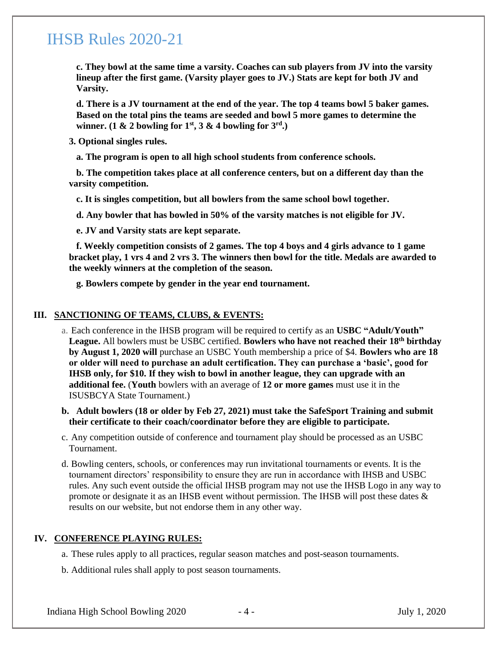**c. They bowl at the same time a varsity. Coaches can sub players from JV into the varsity lineup after the first game. (Varsity player goes to JV.) Stats are kept for both JV and Varsity.** 

**d. There is a JV tournament at the end of the year. The top 4 teams bowl 5 baker games. Based on the total pins the teams are seeded and bowl 5 more games to determine the winner.** (1 & 2 bowling for  $1^{st}$ , 3 & 4 bowling for  $3^{rd}$ .)

**3. Optional singles rules.** 

**a. The program is open to all high school students from conference schools.** 

**b. The competition takes place at all conference centers, but on a different day than the varsity competition.** 

**c. It is singles competition, but all bowlers from the same school bowl together.** 

**d. Any bowler that has bowled in 50% of the varsity matches is not eligible for JV.** 

**e. JV and Varsity stats are kept separate.** 

**f. Weekly competition consists of 2 games. The top 4 boys and 4 girls advance to 1 game bracket play, 1 vrs 4 and 2 vrs 3. The winners then bowl for the title. Medals are awarded to the weekly winners at the completion of the season.** 

**g. Bowlers compete by gender in the year end tournament.** 

#### **III. SANCTIONING OF TEAMS, CLUBS, & EVENTS:**

- a. Each conference in the IHSB program will be required to certify as an **USBC "Adult/Youth" League.** All bowlers must be USBC certified. **Bowlers who have not reached their 18th birthday by August 1, 2020 will** purchase an USBC Youth membership a price of \$4. **Bowlers who are 18 or older will need to purchase an adult certification. They can purchase a 'basic', good for IHSB only, for \$10. If they wish to bowl in another league, they can upgrade with an additional fee.** (**Youth** bowlers with an average of **12 or more games** must use it in the ISUSBCYA State Tournament.)
- **b. Adult bowlers (18 or older by Feb 27, 2021) must take the SafeSport Training and submit their certificate to their coach/coordinator before they are eligible to participate.**
- c. Any competition outside of conference and tournament play should be processed as an USBC Tournament.
- d. Bowling centers, schools, or conferences may run invitational tournaments or events. It is the tournament directors' responsibility to ensure they are run in accordance with IHSB and USBC rules. Any such event outside the official IHSB program may not use the IHSB Logo in any way to promote or designate it as an IHSB event without permission. The IHSB will post these dates & results on our website, but not endorse them in any other way.

#### **IV. CONFERENCE PLAYING RULES:**

a. These rules apply to all practices, regular season matches and post-season tournaments.

b. Additional rules shall apply to post season tournaments.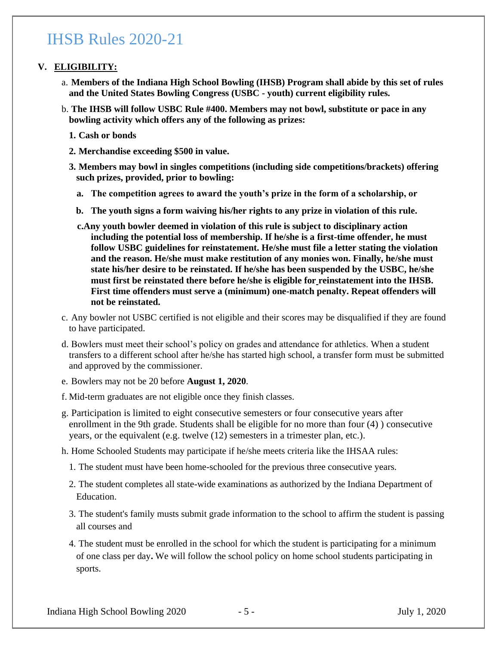### **V. ELIGIBILITY:**

- a. **Members of the Indiana High School Bowling (IHSB) Program shall abide by this set of rules and the United States Bowling Congress (USBC - youth) current eligibility rules.**
- b. **The IHSB will follow USBC Rule #400. Members may not bowl, substitute or pace in any bowling activity which offers any of the following as prizes:**
	- **1. Cash or bonds**
	- **2. Merchandise exceeding \$500 in value.**
	- **3. Members may bowl in singles competitions (including side competitions/brackets) offering such prizes, provided, prior to bowling:**
		- **a. The competition agrees to award the youth's prize in the form of a scholarship, or**
		- **b. The youth signs a form waiving his/her rights to any prize in violation of this rule.**
		- **c.Any youth bowler deemed in violation of this rule is subject to disciplinary action including the potential loss of membership. If he/she is a first-time offender, he must follow USBC guidelines for reinstatement. He/she must file a letter stating the violation and the reason. He/she must make restitution of any monies won. Finally, he/she must state his/her desire to be reinstated. If he/she has been suspended by the USBC, he/she must first be reinstated there before he/she is eligible for reinstatement into the IHSB. First time offenders must serve a (minimum) one-match penalty. Repeat offenders will not be reinstated.**
- c. Any bowler not USBC certified is not eligible and their scores may be disqualified if they are found to have participated.
- d. Bowlers must meet their school's policy on grades and attendance for athletics. When a student transfers to a different school after he/she has started high school, a transfer form must be submitted and approved by the commissioner.
- e. Bowlers may not be 20 before **August 1, 2020**.
- f. Mid-term graduates are not eligible once they finish classes.
- g. Participation is limited to eight consecutive semesters or four consecutive years after enrollment in the 9th grade. Students shall be eligible for no more than four (4) ) consecutive years, or the equivalent (e.g. twelve (12) semesters in a trimester plan, etc.).
- h. Home Schooled Students may participate if he/she meets criteria like the IHSAA rules:
	- 1. The student must have been home-schooled for the previous three consecutive years.
	- 2. The student completes all state-wide examinations as authorized by the Indiana Department of Education.
	- 3. The student's family musts submit grade information to the school to affirm the student is passing all courses and
	- 4. The student must be enrolled in the school for which the student is participating for a minimum of one class per day**.** We will follow the school policy on home school students participating in sports.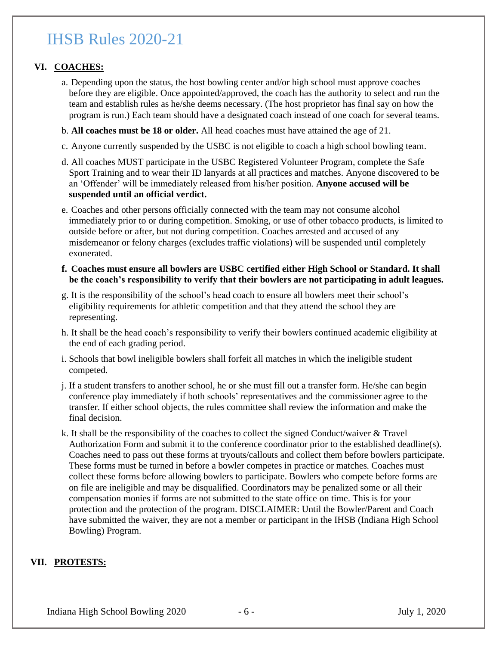### **VI. COACHES:**

- a. Depending upon the status, the host bowling center and/or high school must approve coaches before they are eligible. Once appointed/approved, the coach has the authority to select and run the team and establish rules as he/she deems necessary. (The host proprietor has final say on how the program is run.) Each team should have a designated coach instead of one coach for several teams.
- b. **All coaches must be 18 or older.** All head coaches must have attained the age of 21.
- c. Anyone currently suspended by the USBC is not eligible to coach a high school bowling team.
- d. All coaches MUST participate in the USBC Registered Volunteer Program, complete the Safe Sport Training and to wear their ID lanyards at all practices and matches. Anyone discovered to be an 'Offender' will be immediately released from his/her position. **Anyone accused will be suspended until an official verdict.**
- e. Coaches and other persons officially connected with the team may not consume alcohol immediately prior to or during competition. Smoking, or use of other tobacco products, is limited to outside before or after, but not during competition. Coaches arrested and accused of any misdemeanor or felony charges (excludes traffic violations) will be suspended until completely exonerated.
- **f. Coaches must ensure all bowlers are USBC certified either High School or Standard. It shall be the coach's responsibility to verify that their bowlers are not participating in adult leagues.**
- g. It is the responsibility of the school's head coach to ensure all bowlers meet their school's eligibility requirements for athletic competition and that they attend the school they are representing.
- h. It shall be the head coach's responsibility to verify their bowlers continued academic eligibility at the end of each grading period.
- i. Schools that bowl ineligible bowlers shall forfeit all matches in which the ineligible student competed.
- j. If a student transfers to another school, he or she must fill out a transfer form. He/she can begin conference play immediately if both schools' representatives and the commissioner agree to the transfer. If either school objects, the rules committee shall review the information and make the final decision.
- k. It shall be the responsibility of the coaches to collect the signed Conduct/waiver  $&$  Travel Authorization Form and submit it to the conference coordinator prior to the established deadline(s). Coaches need to pass out these forms at tryouts/callouts and collect them before bowlers participate. These forms must be turned in before a bowler competes in practice or matches. Coaches must collect these forms before allowing bowlers to participate. Bowlers who compete before forms are on file are ineligible and may be disqualified. Coordinators may be penalized some or all their compensation monies if forms are not submitted to the state office on time. This is for your protection and the protection of the program. DISCLAIMER: Until the Bowler/Parent and Coach have submitted the waiver, they are not a member or participant in the IHSB (Indiana High School Bowling) Program.

### **VII. PROTESTS:**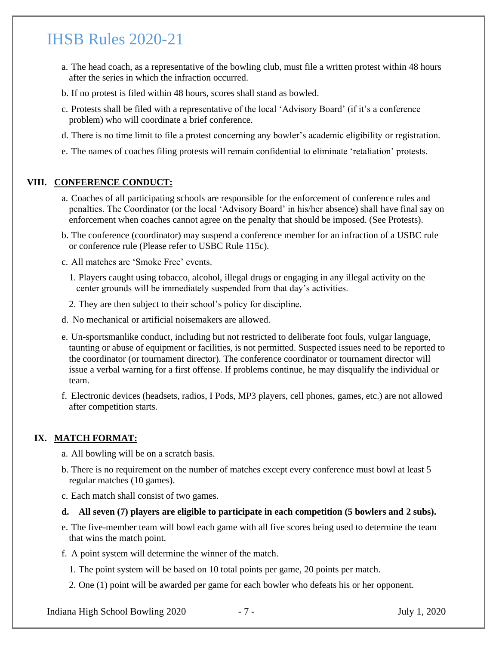- a. The head coach, as a representative of the bowling club, must file a written protest within 48 hours after the series in which the infraction occurred.
- b. If no protest is filed within 48 hours, scores shall stand as bowled.
- c. Protests shall be filed with a representative of the local 'Advisory Board' (if it's a conference problem) who will coordinate a brief conference.
- d. There is no time limit to file a protest concerning any bowler's academic eligibility or registration.
- e. The names of coaches filing protests will remain confidential to eliminate 'retaliation' protests.

### **VIII. CONFERENCE CONDUCT:**

- a. Coaches of all participating schools are responsible for the enforcement of conference rules and penalties. The Coordinator (or the local 'Advisory Board' in his/her absence) shall have final say on enforcement when coaches cannot agree on the penalty that should be imposed. (See Protests).
- b. The conference (coordinator) may suspend a conference member for an infraction of a USBC rule or conference rule (Please refer to USBC Rule 115c).
- c. All matches are 'Smoke Free' events.
	- 1. Players caught using tobacco, alcohol, illegal drugs or engaging in any illegal activity on the center grounds will be immediately suspended from that day's activities.
	- 2. They are then subject to their school's policy for discipline.
- d. No mechanical or artificial noisemakers are allowed.
- e. Un-sportsmanlike conduct, including but not restricted to deliberate foot fouls, vulgar language, taunting or abuse of equipment or facilities, is not permitted. Suspected issues need to be reported to the coordinator (or tournament director). The conference coordinator or tournament director will issue a verbal warning for a first offense. If problems continue, he may disqualify the individual or team.
- f. Electronic devices (headsets, radios, I Pods, MP3 players, cell phones, games, etc.) are not allowed after competition starts.

#### **IX. MATCH FORMAT:**

- a. All bowling will be on a scratch basis.
- b. There is no requirement on the number of matches except every conference must bowl at least 5 regular matches (10 games).
- c. Each match shall consist of two games.
- **d. All seven (7) players are eligible to participate in each competition (5 bowlers and 2 subs).**
- e. The five-member team will bowl each game with all five scores being used to determine the team that wins the match point.
- f. A point system will determine the winner of the match.
	- 1. The point system will be based on 10 total points per game, 20 points per match.
	- 2. One (1) point will be awarded per game for each bowler who defeats his or her opponent.

Indiana High School Bowling 2020 - 7 - July 1, 2020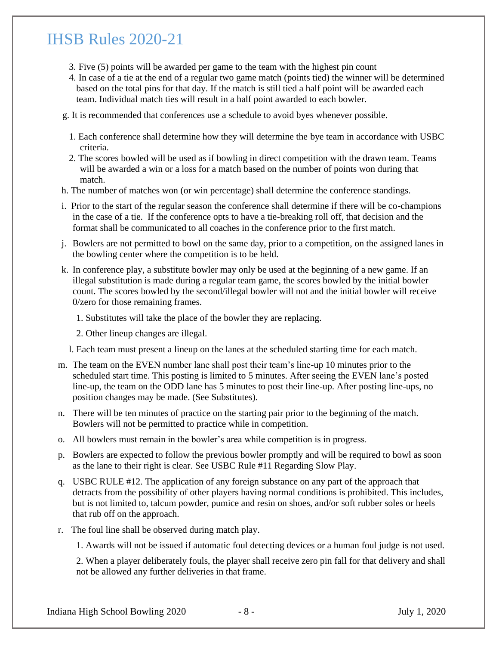- 3. Five (5) points will be awarded per game to the team with the highest pin count
- 4. In case of a tie at the end of a regular two game match (points tied) the winner will be determined based on the total pins for that day. If the match is still tied a half point will be awarded each team. Individual match ties will result in a half point awarded to each bowler.
- g. It is recommended that conferences use a schedule to avoid byes whenever possible.
	- 1. Each conference shall determine how they will determine the bye team in accordance with USBC criteria.
	- 2. The scores bowled will be used as if bowling in direct competition with the drawn team. Teams will be awarded a win or a loss for a match based on the number of points won during that match.
- h. The number of matches won (or win percentage) shall determine the conference standings.
- i. Prior to the start of the regular season the conference shall determine if there will be co-champions in the case of a tie. If the conference opts to have a tie-breaking roll off, that decision and the format shall be communicated to all coaches in the conference prior to the first match.
- j. Bowlers are not permitted to bowl on the same day, prior to a competition, on the assigned lanes in the bowling center where the competition is to be held.
- k. In conference play, a substitute bowler may only be used at the beginning of a new game. If an illegal substitution is made during a regular team game, the scores bowled by the initial bowler count. The scores bowled by the second/illegal bowler will not and the initial bowler will receive 0/zero for those remaining frames.
	- 1. Substitutes will take the place of the bowler they are replacing.
	- 2. Other lineup changes are illegal.
	- l. Each team must present a lineup on the lanes at the scheduled starting time for each match.
- m. The team on the EVEN number lane shall post their team's line-up 10 minutes prior to the scheduled start time. This posting is limited to 5 minutes. After seeing the EVEN lane's posted line-up, the team on the ODD lane has 5 minutes to post their line-up. After posting line-ups, no position changes may be made. (See Substitutes).
- n. There will be ten minutes of practice on the starting pair prior to the beginning of the match. Bowlers will not be permitted to practice while in competition.
- o. All bowlers must remain in the bowler's area while competition is in progress.
- p. Bowlers are expected to follow the previous bowler promptly and will be required to bowl as soon as the lane to their right is clear. See USBC Rule #11 Regarding Slow Play.
- q. USBC RULE #12. The application of any foreign substance on any part of the approach that detracts from the possibility of other players having normal conditions is prohibited. This includes, but is not limited to, talcum powder, pumice and resin on shoes, and/or soft rubber soles or heels that rub off on the approach.
- r. The foul line shall be observed during match play.

1. Awards will not be issued if automatic foul detecting devices or a human foul judge is not used.

2. When a player deliberately fouls, the player shall receive zero pin fall for that delivery and shall not be allowed any further deliveries in that frame.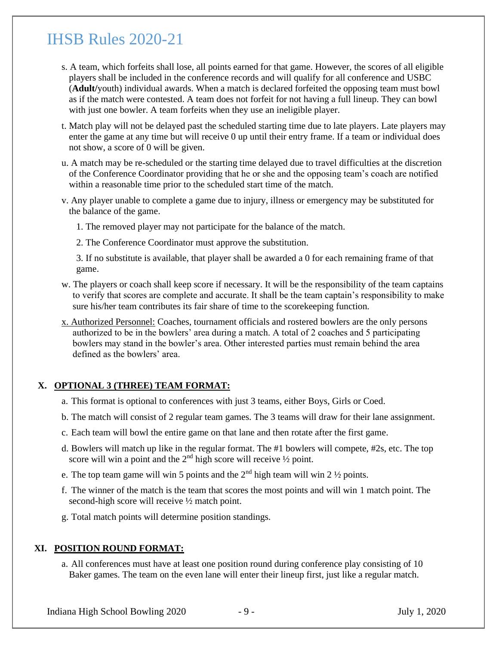- s. A team, which forfeits shall lose, all points earned for that game. However, the scores of all eligible players shall be included in the conference records and will qualify for all conference and USBC (**Adult/**youth) individual awards. When a match is declared forfeited the opposing team must bowl as if the match were contested. A team does not forfeit for not having a full lineup. They can bowl with just one bowler. A team forfeits when they use an ineligible player.
- t. Match play will not be delayed past the scheduled starting time due to late players. Late players may enter the game at any time but will receive 0 up until their entry frame. If a team or individual does not show, a score of 0 will be given.
- u. A match may be re-scheduled or the starting time delayed due to travel difficulties at the discretion of the Conference Coordinator providing that he or she and the opposing team's coach are notified within a reasonable time prior to the scheduled start time of the match.
- v. Any player unable to complete a game due to injury, illness or emergency may be substituted for the balance of the game.
	- 1. The removed player may not participate for the balance of the match.
	- 2. The Conference Coordinator must approve the substitution.

3. If no substitute is available, that player shall be awarded a 0 for each remaining frame of that game.

- w. The players or coach shall keep score if necessary. It will be the responsibility of the team captains to verify that scores are complete and accurate. It shall be the team captain's responsibility to make sure his/her team contributes its fair share of time to the scorekeeping function.
- x. Authorized Personnel: Coaches, tournament officials and rostered bowlers are the only persons authorized to be in the bowlers' area during a match. A total of 2 coaches and 5 participating bowlers may stand in the bowler's area. Other interested parties must remain behind the area defined as the bowlers' area.

### **X. OPTIONAL 3 (THREE) TEAM FORMAT:**

- a. This format is optional to conferences with just 3 teams, either Boys, Girls or Coed.
- b. The match will consist of 2 regular team games. The 3 teams will draw for their lane assignment.
- c. Each team will bowl the entire game on that lane and then rotate after the first game.
- d. Bowlers will match up like in the regular format. The #1 bowlers will compete, #2s, etc. The top score will win a point and the  $2<sup>nd</sup>$  high score will receive  $\frac{1}{2}$  point.
- e. The top team game will win 5 points and the  $2<sup>nd</sup>$  high team will win 2  $\frac{1}{2}$  points.
- f. The winner of the match is the team that scores the most points and will win 1 match point. The second-high score will receive ½ match point.
- g. Total match points will determine position standings.

### **XI. POSITION ROUND FORMAT:**

a. All conferences must have at least one position round during conference play consisting of 10 Baker games. The team on the even lane will enter their lineup first, just like a regular match.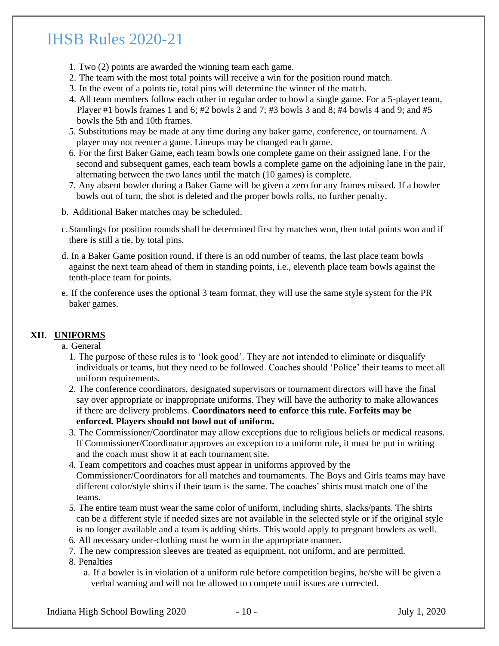- 1. Two (2) points are awarded the winning team each game.
- 2. The team with the most total points will receive a win for the position round match.
- 3. In the event of a points tie, total pins will determine the winner of the match.
- 4. All team members follow each other in regular order to bowl a single game. For a 5-player team, Player #1 bowls frames 1 and 6; #2 bowls 2 and 7; #3 bowls 3 and 8; #4 bowls 4 and 9; and #5 bowls the 5th and 10th frames.
- 5. Substitutions may be made at any time during any baker game, conference, or tournament. A player may not reenter a game. Lineups may be changed each game.
- 6. For the first Baker Game, each team bowls one complete game on their assigned lane. For the second and subsequent games, each team bowls a complete game on the adjoining lane in the pair, alternating between the two lanes until the match (10 games) is complete.
- 7. Any absent bowler during a Baker Game will be given a zero for any frames missed. If a bowler bowls out of turn, the shot is deleted and the proper bowls rolls, no further penalty.
- b. Additional Baker matches may be scheduled.
- c.Standings for position rounds shall be determined first by matches won, then total points won and if there is still a tie, by total pins.
- d. In a Baker Game position round, if there is an odd number of teams, the last place team bowls against the next team ahead of them in standing points, i.e., eleventh place team bowls against the tenth-place team for points.
- e. If the conference uses the optional 3 team format, they will use the same style system for the PR baker games.

### **XII. UNIFORMS**

- a. General
	- 1. The purpose of these rules is to 'look good'. They are not intended to eliminate or disqualify individuals or teams, but they need to be followed. Coaches should 'Police' their teams to meet all uniform requirements.
	- 2. The conference coordinators, designated supervisors or tournament directors will have the final say over appropriate or inappropriate uniforms. They will have the authority to make allowances if there are delivery problems. **Coordinators need to enforce this rule. Forfeits may be enforced. Players should not bowl out of uniform.**
	- 3. The Commissioner/Coordinator may allow exceptions due to religious beliefs or medical reasons. If Commissioner/Coordinator approves an exception to a uniform rule, it must be put in writing and the coach must show it at each tournament site.
	- 4. Team competitors and coaches must appear in uniforms approved by the Commissioner/Coordinators for all matches and tournaments. The Boys and Girls teams may have different color/style shirts if their team is the same. The coaches' shirts must match one of the teams.
	- 5. The entire team must wear the same color of uniform, including shirts, slacks/pants. The shirts can be a different style if needed sizes are not available in the selected style or if the original style is no longer available and a team is adding shirts. This would apply to pregnant bowlers as well.
	- 6. All necessary under-clothing must be worn in the appropriate manner.
	- 7. The new compression sleeves are treated as equipment, not uniform, and are permitted.
	- 8. Penalties
		- a. If a bowler is in violation of a uniform rule before competition begins, he/she will be given a verbal warning and will not be allowed to compete until issues are corrected.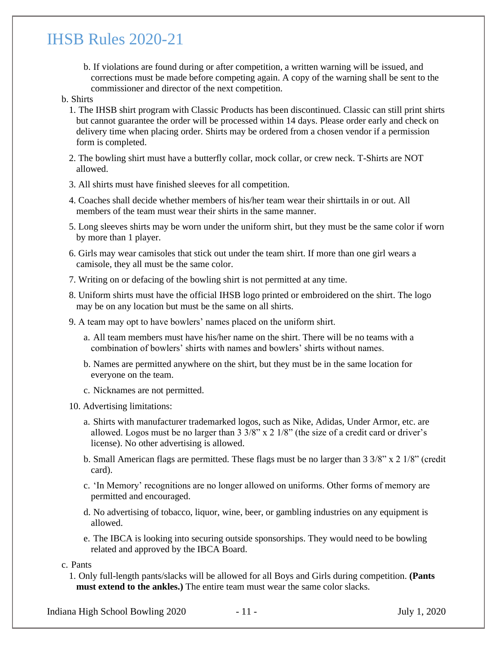b. If violations are found during or after competition, a written warning will be issued, and corrections must be made before competing again. A copy of the warning shall be sent to the commissioner and director of the next competition.

#### b. Shirts

- 1. The IHSB shirt program with Classic Products has been discontinued. Classic can still print shirts but cannot guarantee the order will be processed within 14 days. Please order early and check on delivery time when placing order. Shirts may be ordered from a chosen vendor if a permission form is completed.
- 2. The bowling shirt must have a butterfly collar, mock collar, or crew neck. T-Shirts are NOT allowed.
- 3. All shirts must have finished sleeves for all competition.
- 4. Coaches shall decide whether members of his/her team wear their shirttails in or out. All members of the team must wear their shirts in the same manner.
- 5. Long sleeves shirts may be worn under the uniform shirt, but they must be the same color if worn by more than 1 player.
- 6. Girls may wear camisoles that stick out under the team shirt. If more than one girl wears a camisole, they all must be the same color.
- 7. Writing on or defacing of the bowling shirt is not permitted at any time.
- 8. Uniform shirts must have the official IHSB logo printed or embroidered on the shirt. The logo may be on any location but must be the same on all shirts.
- 9. A team may opt to have bowlers' names placed on the uniform shirt.
	- a. All team members must have his/her name on the shirt. There will be no teams with a combination of bowlers' shirts with names and bowlers' shirts without names.
	- b. Names are permitted anywhere on the shirt, but they must be in the same location for everyone on the team.
	- c. Nicknames are not permitted.
- 10. Advertising limitations:
	- a. Shirts with manufacturer trademarked logos, such as Nike, Adidas, Under Armor, etc. are allowed. Logos must be no larger than 3 3/8" x 2 1/8" (the size of a credit card or driver's license). No other advertising is allowed.
	- b. Small American flags are permitted. These flags must be no larger than 3 3/8" x 2 1/8" (credit card).
	- c. 'In Memory' recognitions are no longer allowed on uniforms. Other forms of memory are permitted and encouraged.
	- d. No advertising of tobacco, liquor, wine, beer, or gambling industries on any equipment is allowed.
	- e. The IBCA is looking into securing outside sponsorships. They would need to be bowling related and approved by the IBCA Board.

c. Pants

1. Only full-length pants/slacks will be allowed for all Boys and Girls during competition. **(Pants must extend to the ankles.)** The entire team must wear the same color slacks.

Indiana High School Bowling 2020 - 11 - July 1, 2020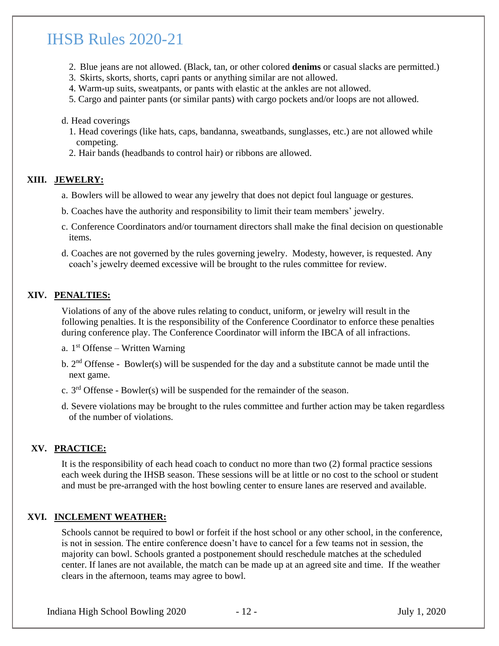- 2. Blue jeans are not allowed. (Black, tan, or other colored **denims** or casual slacks are permitted.)
- 3. Skirts, skorts, shorts, capri pants or anything similar are not allowed.
- 4. Warm-up suits, sweatpants, or pants with elastic at the ankles are not allowed.
- 5. Cargo and painter pants (or similar pants) with cargo pockets and/or loops are not allowed.

#### d. Head coverings

- 1. Head coverings (like hats, caps, bandanna, sweatbands, sunglasses, etc.) are not allowed while competing.
- 2. Hair bands (headbands to control hair) or ribbons are allowed.

### **XIII. JEWELRY:**

- a. Bowlers will be allowed to wear any jewelry that does not depict foul language or gestures.
- b. Coaches have the authority and responsibility to limit their team members' jewelry.
- c. Conference Coordinators and/or tournament directors shall make the final decision on questionable items.
- d. Coaches are not governed by the rules governing jewelry. Modesty, however, is requested. Any coach's jewelry deemed excessive will be brought to the rules committee for review.

### **XIV. PENALTIES:**

Violations of any of the above rules relating to conduct, uniform, or jewelry will result in the following penalties. It is the responsibility of the Conference Coordinator to enforce these penalties during conference play. The Conference Coordinator will inform the IBCA of all infractions.

- a.  $1<sup>st</sup>$  Offense Written Warning
- b.  $2<sup>nd</sup>$  Offense Bowler(s) will be suspended for the day and a substitute cannot be made until the next game.
- c.  $3<sup>rd</sup>$  Offense Bowler(s) will be suspended for the remainder of the season.
- d. Severe violations may be brought to the rules committee and further action may be taken regardless of the number of violations.

### **XV. PRACTICE:**

It is the responsibility of each head coach to conduct no more than two (2) formal practice sessions each week during the IHSB season. These sessions will be at little or no cost to the school or student and must be pre-arranged with the host bowling center to ensure lanes are reserved and available.

#### **XVI. INCLEMENT WEATHER:**

Schools cannot be required to bowl or forfeit if the host school or any other school, in the conference, is not in session. The entire conference doesn't have to cancel for a few teams not in session, the majority can bowl. Schools granted a postponement should reschedule matches at the scheduled center. If lanes are not available, the match can be made up at an agreed site and time. If the weather clears in the afternoon, teams may agree to bowl.